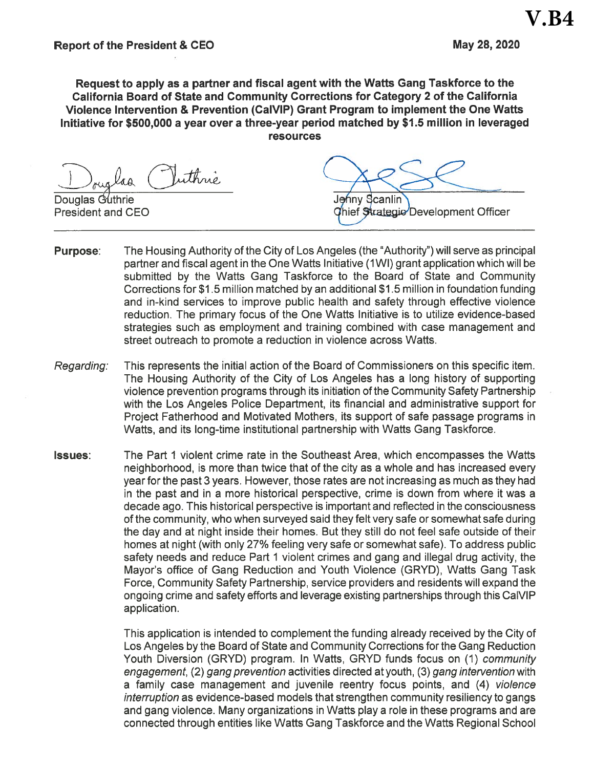May 28, 2020

Request to apply as a partner and fiscal agent with the Watts Gang Taskforce to the California Board of State and Community Corrections for Category 2 of the California Violence Intervention & Prevention (CalVIP) Grant Program to implement the One Watts Initiative for \$500,000 a year over a three-year period matched by \$1.5 million in leveraged **resources** 

Vuthrie laa

Douglas Guthrie **President and CEO** 

Jehny Scanlin Chief Strategic Development Officer

- The Housing Authority of the City of Los Angeles (the "Authority") will serve as principal **Purpose:** partner and fiscal agent in the One Watts Initiative (1WI) grant application which will be submitted by the Watts Gang Taskforce to the Board of State and Community Corrections for \$1.5 million matched by an additional \$1.5 million in foundation funding and in-kind services to improve public health and safety through effective violence reduction. The primary focus of the One Watts Initiative is to utilize evidence-based strategies such as employment and training combined with case management and street outreach to promote a reduction in violence across Watts.
- This represents the initial action of the Board of Commissioners on this specific item. Regarding: The Housing Authority of the City of Los Angeles has a long history of supporting violence prevention programs through its initiation of the Community Safety Partnership with the Los Angeles Police Department, its financial and administrative support for Project Fatherhood and Motivated Mothers, its support of safe passage programs in Watts, and its long-time institutional partnership with Watts Gang Taskforce.
- The Part 1 violent crime rate in the Southeast Area, which encompasses the Watts **Issues:** neighborhood, is more than twice that of the city as a whole and has increased every year for the past 3 years. However, those rates are not increasing as much as they had in the past and in a more historical perspective, crime is down from where it was a decade ago. This historical perspective is important and reflected in the consciousness of the community, who when surveyed said they felt very safe or somewhat safe during the day and at night inside their homes. But they still do not feel safe outside of their homes at night (with only 27% feeling very safe or somewhat safe). To address public safety needs and reduce Part 1 violent crimes and gang and illegal drug activity, the Mayor's office of Gang Reduction and Youth Violence (GRYD), Watts Gang Task Force, Community Safety Partnership, service providers and residents will expand the ongoing crime and safety efforts and leverage existing partnerships through this CalVIP application.

This application is intended to complement the funding already received by the City of Los Angeles by the Board of State and Community Corrections for the Gang Reduction Youth Diversion (GRYD) program. In Watts, GRYD funds focus on (1) *community* engagement, (2) gang prevention activities directed at youth, (3) gang intervention with a family case management and juvenile reentry focus points, and (4) violence interruption as evidence-based models that strengthen community resiliency to gangs and gang violence. Many organizations in Watts play a role in these programs and are connected through entities like Watts Gang Taskforce and the Watts Regional School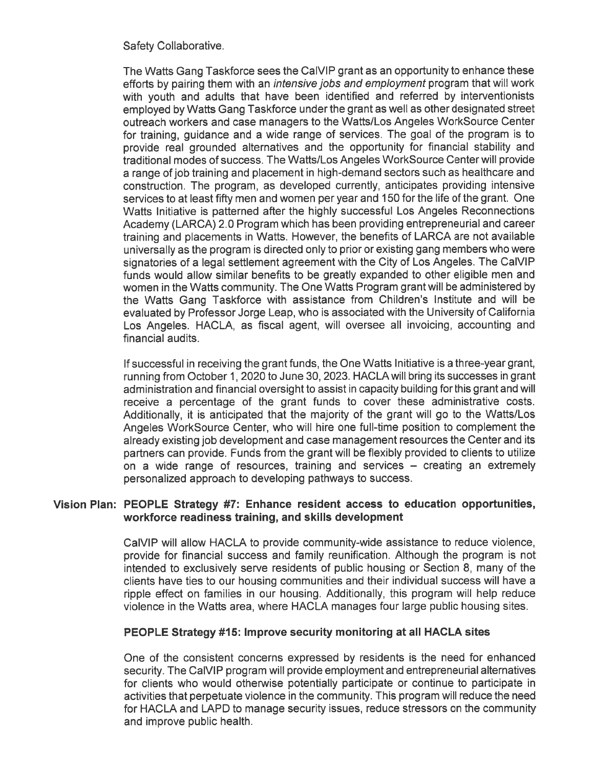### Safety Collaborative.

The Watts Gang Taskforce sees the CalVIP grant as an opportunity to enhance these efforts by pairing them with an *intensive jobs and employment* program that will work with youth and adults that have been identified and referred by interventionists employed by Watts Gang Taskforce under the grant as well as other designated street outreach workers and case managers to the Watts/Los Angeles WorkSource Center for training, quidance and a wide range of services. The goal of the program is to provide real grounded alternatives and the opportunity for financial stability and traditional modes of success. The Watts/Los Angeles WorkSource Center will provide a range of job training and placement in high-demand sectors such as healthcare and construction. The program, as developed currently, anticipates providing intensive services to at least fifty men and women per year and 150 for the life of the grant. One Watts Initiative is patterned after the highly successful Los Angeles Reconnections Academy (LARCA) 2.0 Program which has been providing entrepreneurial and career training and placements in Watts. However, the benefits of LARCA are not available universally as the program is directed only to prior or existing gang members who were signatories of a legal settlement agreement with the City of Los Angeles. The CalVIP funds would allow similar benefits to be greatly expanded to other eligible men and women in the Watts community. The One Watts Program grant will be administered by the Watts Gang Taskforce with assistance from Children's Institute and will be evaluated by Professor Jorge Leap, who is associated with the University of California Los Angeles. HACLA, as fiscal agent, will oversee all invoicing, accounting and financial audits.

If successful in receiving the grant funds, the One Watts Initiative is a three-year grant, running from October 1, 2020 to June 30, 2023. HACLA will bring its successes in grant administration and financial oversight to assist in capacity building for this grant and will receive a percentage of the grant funds to cover these administrative costs. Additionally, it is anticipated that the majority of the grant will go to the Watts/Los Angeles WorkSource Center, who will hire one full-time position to complement the already existing job development and case management resources the Center and its partners can provide. Funds from the grant will be flexibly provided to clients to utilize on a wide range of resources, training and services – creating an extremely personalized approach to developing pathways to success.

#### Vision Plan: PEOPLE Strategy #7: Enhance resident access to education opportunities, workforce readiness training, and skills development

CalVIP will allow HACLA to provide community-wide assistance to reduce violence, provide for financial success and family reunification. Although the program is not intended to exclusively serve residents of public housing or Section 8, many of the clients have ties to our housing communities and their individual success will have a ripple effect on families in our housing. Additionally, this program will help reduce violence in the Watts area, where HACLA manages four large public housing sites.

### PEOPLE Strategy #15: Improve security monitoring at all HACLA sites

One of the consistent concerns expressed by residents is the need for enhanced security. The CalVIP program will provide employment and entrepreneurial alternatives for clients who would otherwise potentially participate or continue to participate in activities that perpetuate violence in the community. This program will reduce the need for HACLA and LAPD to manage security issues, reduce stressors on the community and improve public health.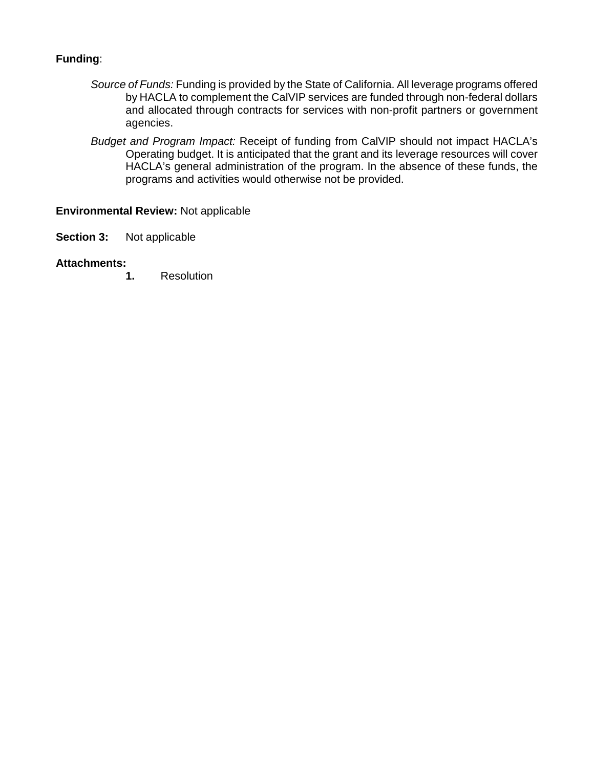# **Funding**:

- *Source of Funds:* Funding is provided by the State of California. All leverage programs offered by HACLA to complement the CalVIP services are funded through non-federal dollars and allocated through contracts for services with non-profit partners or government agencies.
- *Budget and Program Impact:* Receipt of funding from CalVIP should not impact HACLA's Operating budget. It is anticipated that the grant and its leverage resources will cover HACLA's general administration of the program. In the absence of these funds, the programs and activities would otherwise not be provided.

## **Environmental Review:** Not applicable

**Section 3:** Not applicable

### **Attachments:**

**1.** Resolution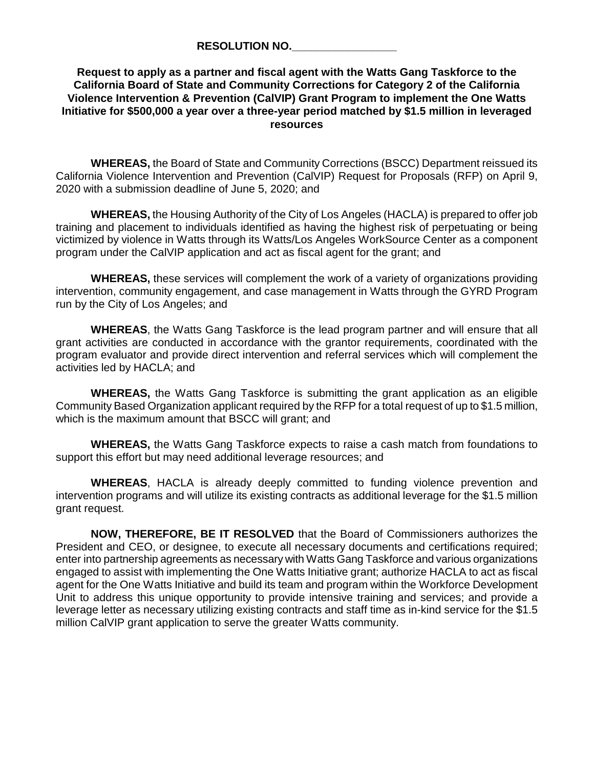**RESOLUTION NO.\_\_\_\_\_\_\_\_\_\_\_\_\_\_\_\_\_**

### **Request to apply as a partner and fiscal agent with the Watts Gang Taskforce to the California Board of State and Community Corrections for Category 2 of the California Violence Intervention & Prevention (CalVIP) Grant Program to implement the One Watts Initiative for \$500,000 a year over a three-year period matched by \$1.5 million in leveraged resources**

**WHEREAS,** the Board of State and Community Corrections (BSCC) Department reissued its California Violence Intervention and Prevention (CalVIP) Request for Proposals (RFP) on April 9, 2020 with a submission deadline of June 5, 2020; and

**WHEREAS,** the Housing Authority of the City of Los Angeles (HACLA) is prepared to offer job training and placement to individuals identified as having the highest risk of perpetuating or being victimized by violence in Watts through its Watts/Los Angeles WorkSource Center as a component program under the CalVIP application and act as fiscal agent for the grant; and

**WHEREAS,** these services will complement the work of a variety of organizations providing intervention, community engagement, and case management in Watts through the GYRD Program run by the City of Los Angeles; and

**WHEREAS**, the Watts Gang Taskforce is the lead program partner and will ensure that all grant activities are conducted in accordance with the grantor requirements, coordinated with the program evaluator and provide direct intervention and referral services which will complement the activities led by HACLA; and

**WHEREAS,** the Watts Gang Taskforce is submitting the grant application as an eligible Community Based Organization applicant required by the RFP for a total request of up to \$1.5 million, which is the maximum amount that BSCC will grant; and

**WHEREAS,** the Watts Gang Taskforce expects to raise a cash match from foundations to support this effort but may need additional leverage resources; and

**WHEREAS**, HACLA is already deeply committed to funding violence prevention and intervention programs and will utilize its existing contracts as additional leverage for the \$1.5 million grant request.

**NOW, THEREFORE, BE IT RESOLVED** that the Board of Commissioners authorizes the President and CEO, or designee, to execute all necessary documents and certifications required; enter into partnership agreements as necessary with Watts Gang Taskforce and various organizations engaged to assist with implementing the One Watts Initiative grant; authorize HACLA to act as fiscal agent for the One Watts Initiative and build its team and program within the Workforce Development Unit to address this unique opportunity to provide intensive training and services; and provide a leverage letter as necessary utilizing existing contracts and staff time as in-kind service for the \$1.5 million CalVIP grant application to serve the greater Watts community.